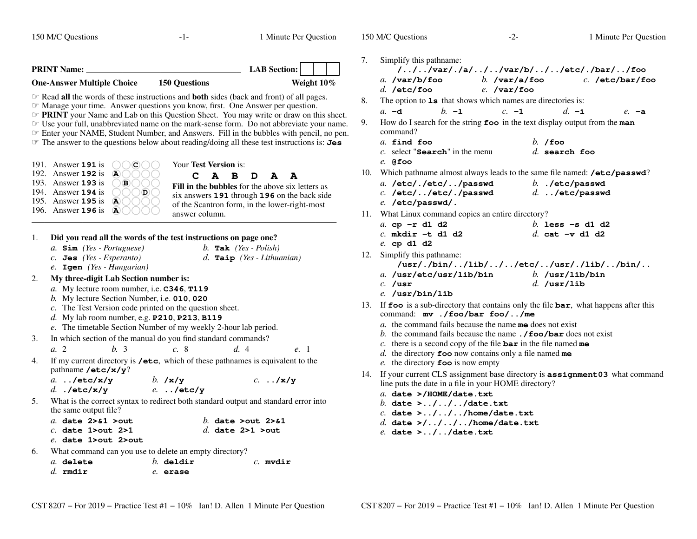150 M/C Questions $-1-$  1 Minute Per Question **PRINT Name: LAB Section:One-Answer Multiple Choice 150 Questions Weight 10%** $\mathcal{F}$  **Read all the words of these instructions and both sides (back and front) of all pages**  Read **all** the words of these instructions and **both** sides (back and front) of all pages. ☞ Manage your time. Answer questions you know, first. One Answer per question. ☞**☞ PRINT** your Name and Lab on this Question Sheet. You may write or draw on this sheet.<br>☞ Use your full unabbreviated name on the mark-sense form. Do not abbreviate your name Use your full, unabbreviated name on the mark-sense form. Do not abbreviate your name. ☞ Enter your NAME, Student Number, and Answers. Fill in the bubbles with pencil, no pen. ☞ The answer to the questions below about reading/doing all these test instructions is: **Jes** Your **Test Version** is: **CABDAA Fill in the bubbles** for the above six letters as six answers **<sup>191</sup>** through **<sup>196</sup>** on the back side of the Scantron form, in the lower-right-mostanswer column.191. Answer **<sup>191</sup>** is  $\bigcirc$  $\bigcirc$  $\bigcirc$ 192. Answer **<sup>192</sup>** is **A**193. Answer **<sup>193</sup>** is **B**194. Answer **<sup>194</sup>** is **D**195. Answer **<sup>195</sup>** is **A** 196. Answer **<sup>196</sup>** is **A**1. **Did you read all the words of the test instructions on page one?**b. Tak  $(Yes - Polish)$ *a.* **Sim** *(Yes - Portuguese) b.* **Tak** *(Yes - Polish) c.* **Jes** *(Yes - Esperanto) d.* **Taip** *(Yes - Lithuanian) e.* **Igen** *(Yes - Hungarian)* 2. **My three-digit Lab Section number is:** *a.* My lecture room number, i.e. **C346**, **T119** *b.* My lecture Section Number, i.e. **<sup>010</sup>**, **<sup>020</sup>** *c.* The Test Version code printed on the question sheet. *d.* My lab room number, e.g. **P210**, **P213**, **B119** *e.* The timetable Section Number of my weekly 2-hour lab period. 3. In which section of the manual do you find standard commands? *a.* 2 *b.* <sup>3</sup> *c.* <sup>8</sup> *d.* <sup>4</sup> *e.* <sup>1</sup>  $4.$  my current directory is **/etc**, which of these pathnames is equivalent to thepathname **/etc/x/y**? *a.* **../etc/x/y** *b.* **/x/y** *c.* **../x/y** *d.* **./etc/x/y** *e.* **../etc/y** 5. What is the correct syntax to redirect both standard output and standard error intothe same output file? *a.* **date 2>&1 >out** *b.* **date >out 2>&1** *c.* **date 1>out 2>1** *d.* **date 2>1 >out** *e.* **date 1>out 2>out** 6. What command can you use to delete an empty directory?*a.* **delete** *b.* **deldir** *c.* **mvdir** *d.* **rmdir** *e.* **erase** 150 M/C Questions $-2-$  1 Minute Per Question 7. Simplify this pathname: **/../../var/./a/../../var/b/../../etc/./bar/../foo** *b.* **/var/a/foo** *c.* **/etc/bar/foo** *a.* **/var/b/foo***d.* **/etc/foo** *e.* **/var/foo** 8. The option to **ls** that shows which names are directories is: *a.* **-d** *b.* **-l** *c.* **-1** *d.* **-i** *e.* **-a** 9. How do I search for the string **foo** in the text display output from the **man** command? *a.* **find foo** *b.* **/foo** *c.* select "**Search**" in the menu *d.* **search foo***e.* **@foo** 10. Which pathname almost always leads to the same file named: **/etc/passwd**? *a.* **/etc/./etc/../passwd** *b.* **./etc/passwd** *c.* **/etc/../etc/./passwd** *d.* **../etc/passwd** *e.* **/etc/passwd/.** 11. What Linux command copies an entire directory? *b.* **less -s d1 d2** *a.* **cp -r d1 d2***c.* **mkdir -t d1 d2** *d.* **cat -v d1 d2** *e.* **cp d1 d2** 12. Simplify this pathname: **/usr/./bin/../lib/../../etc/../usr/./lib/../bin/..***a.* **/usr/etc/usr/lib/bin** *b.* **/usr/lib/bin** *c.* **/usr** *d.* **/usr/lib** *e.* **/usr/bin/lib** 13. If **foo** is a sub-directory that contains only the file **bar**, what happens after this command: **mv ./foo/bar foo/../me** *a.* the command fails because the name **me** does not exist *b.* the command fails because the name **./foo/bar** does not exist *c.* there is a second copy of the file **bar** in the file named **me** *d.* the directory **foo** now contains only a file named **me** *e.* the directory **foo** is now empty 14. If your current CLS assignment base directory is **assignment03** what command line puts the date in a file in your HOME directory?*a.* **date >/HOME/date.txt** *b.* **date >../../../date.txt** *c.* **date >../../../home/date.txt** *d.* **date >/../../../home/date.txt***e.* **date >../../date.txt**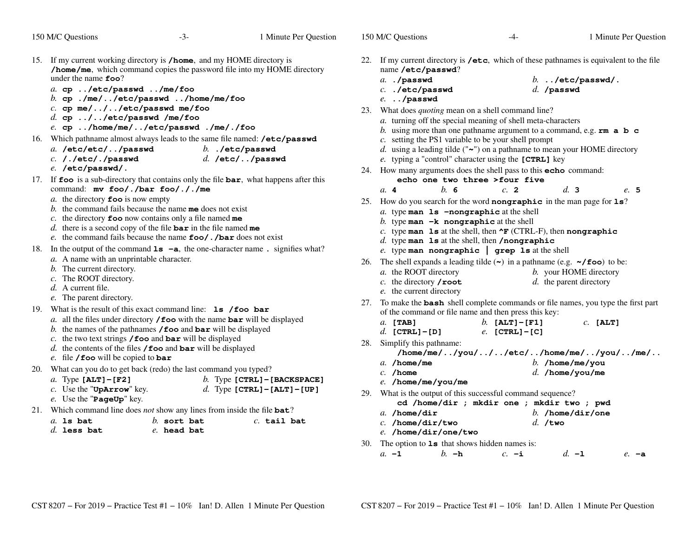| 150 M/C Questions<br>$-3-$                                                                                                                                                                                                                                                                                                                                                                                                                                                  | 1 Minute Per Question                                             | 150 M/C Questions<br>1 Minute Per Question<br>-4-                                                                                                                                                                                                                                                                                                                                                                                                   |  |
|-----------------------------------------------------------------------------------------------------------------------------------------------------------------------------------------------------------------------------------------------------------------------------------------------------------------------------------------------------------------------------------------------------------------------------------------------------------------------------|-------------------------------------------------------------------|-----------------------------------------------------------------------------------------------------------------------------------------------------------------------------------------------------------------------------------------------------------------------------------------------------------------------------------------------------------------------------------------------------------------------------------------------------|--|
| If my current working directory is /home, and my HOME directory is<br>15.<br>/home/me, which command copies the password file into my HOME directory<br>under the name $\epsilon$ = 00?<br>a. cp /etc/passwd /me/foo<br>b. cp./me//etc/passwd/home/me/foo<br>$c.$ cp me///etc/passwd me/foo<br>$d.$ cp $\ldots$ / / etc/passwd /me/foo<br>e. cp /home/me//etc/passwd ./me/./foo                                                                                             |                                                                   | 22. If my current directory is /etc, which of these pathnames is equivalent to the file<br>name /etc/passwd?<br>a. ./passwd<br>$b.$ /etc/passwd/.<br>$c.$ ./etc/passwd<br>$d.$ /passwd<br>$e.$ /passwd<br>23. What does <i>quoting</i> mean on a shell command line?<br>a. turning off the special meaning of shell meta-characters<br>b. using more than one pathname argument to a command, e.g. $rm \ a \ b \ c$                                 |  |
| 16. Which pathname almost always leads to the same file named: /etc/passwd<br>a. /etc/etc//passwd<br>$c.$ /./etc/./passwd<br>e. /etc/passwd/.                                                                                                                                                                                                                                                                                                                               | $b.$ ./etc/passwd<br>$d.$ /etc//passwd                            | c. setting the PS1 variable to be your shell prompt<br>d. using a leading tilde (" $\sim$ ") on a pathname to mean your HOME directory<br>e. typing a "control" character using the [CTRL] key<br>24. How many arguments does the shell pass to this echo command:                                                                                                                                                                                  |  |
| 17. If foo is a sub-directory that contains only the file bar, what happens after this<br>command: mv foo/./bar foo/././me                                                                                                                                                                                                                                                                                                                                                  |                                                                   | echo one two three >four five<br>$h$ 6<br>c.2<br>d.3<br>a.4<br>e. 5                                                                                                                                                                                                                                                                                                                                                                                 |  |
| <i>a</i> . the directory $\textbf{foo}$ is now empty<br>b. the command fails because the name me does not exist<br>c. the directory $\textbf{foo}$ now contains only a file named me<br>d. there is a second copy of the file $bar$ in the file named me<br>e. the command fails because the name $\text{foo}/$ . /bar does not exist<br>In the output of the command $1s - a$ , the one-character name. signifies what?<br>18.<br>a. A name with an unprintable character. |                                                                   | 25. How do you search for the word nongraphic in the man page for 1s?<br>$a$ . type man $1s$ -nongraphic at the shell<br>b. type man $-k$ nongraphic at the shell<br>c. type man 1s at the shell, then $\mathbf{F}$ (CTRL-F), then nongraphic<br>$d.$ type man $1s$ at the shell, then /nongraphic<br>e. type man nongraphic $\vert$ grep 1s at the shell<br>26. The shell expands a leading tilde $(\sim)$ in a pathname (e.g. $\sim$ /foo) to be: |  |
| b. The current directory.<br>c. The ROOT directory.<br>d. A current file.<br>e. The parent directory.                                                                                                                                                                                                                                                                                                                                                                       |                                                                   | a. the ROOT directory<br>b. your HOME directory<br>$d.$ the parent directory<br>c. the directory $\prime$ root<br>e. the current directory                                                                                                                                                                                                                                                                                                          |  |
| What is the result of this exact command line: <b>1s</b> / foo bar<br>19.<br>a. all the files under directory / foo with the name bar will be displayed<br>b. the names of the pathnames $/$ foo and bar will be displayed<br>c. the two text strings $/$ foo and bar will be displayed<br>d. the contents of the files $/$ foo and bar will be displayed<br>e. file / foo will be copied to bar                                                                            |                                                                   | 27. To make the <b>bash</b> shell complete commands or file names, you type the first part<br>of the command or file name and then press this key:<br>b. $[ALT] - [F1]$<br>a. [TAB]<br>$c.$ [ALT]<br>d. $[CTRL] - [D]$<br>$e.$ [CTRL] - [C]<br>28. Simplify this pathname:<br>$/home/me/$ /you///etc//home/me//you//me/                                                                                                                             |  |
| What can you do to get back (redo) the last command you typed?<br>20.<br>a. Type $[ALT] - [F2]$<br>$c$ . Use the "UpArrow" key.                                                                                                                                                                                                                                                                                                                                             | b. Type $[CFRL] - [BACKSPACE]$<br>d. Type $[CTRL] - [ALT] - [UP]$ | $a.$ /home/me<br>b. /home/me/you<br>$c.$ /home<br>$d.$ /home/you/me<br>e. /home/me/you/me<br>29. What is the output of this successful command sequence?                                                                                                                                                                                                                                                                                            |  |
| $e$ . Use the "PageUp" key.<br>21. Which command line does <i>not</i> show any lines from inside the file $bat?$<br>$a.$ is bat<br>$b.$ sort bat<br>$d.$ less bat<br>e. head bat                                                                                                                                                                                                                                                                                            | $c.$ tail bat                                                     | cd /home/dir ; mkdir one ; mkdir two ; pwd<br>a. $/$ home $/$ dir<br>b. /home/dir/one<br>$c.$ /home/dir/two<br>$d.$ /two<br>e. /home/dir/one/two                                                                                                                                                                                                                                                                                                    |  |
|                                                                                                                                                                                                                                                                                                                                                                                                                                                                             |                                                                   | 30. The option to $1s$ that shows hidden names is:                                                                                                                                                                                                                                                                                                                                                                                                  |  |

The option to **1s** that shows hidden names is:<br> *a.*  $-1$  *b.*  $-1$  *c.*  $-1$  *d.*  $-1$  *e.*  $-a$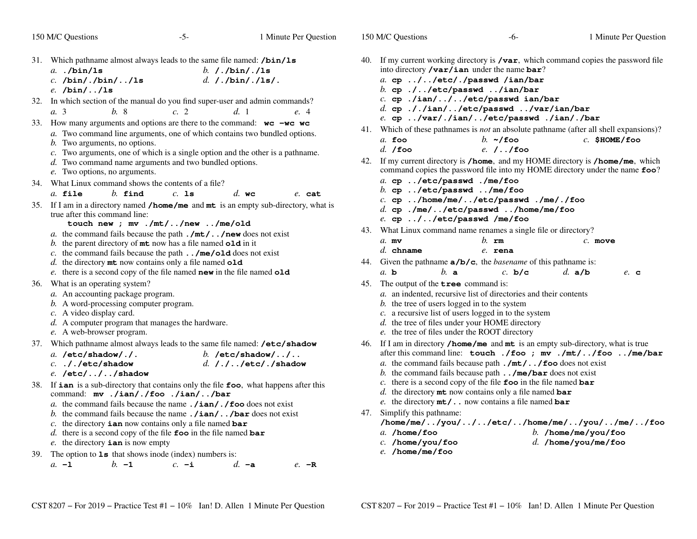- $-5$  1 Minute Per Question 31. Which pathname almost always leads to the same file named: **/bin/ls***a.* **./bin/ls** *b.* **/./bin/./ls** *c.* **/bin/./bin/../ls** *d.* **/./bin/./ls/.** *e.* **/bin/../ls** 32. In which section of the manual do you find super-user and admin commands? *a.* 3 *b.* <sup>8</sup> *c.* <sup>2</sup> *d.* <sup>1</sup> *e.* <sup>4</sup> 33. How many arguments and options are there to the command: **wc -wc wc***a*. Two command line arguments, one of which contains two bundled options. *b*. Two arguments, no options. *c*. Two arguments, one of which is a single option and the other is a pathname. *d*. Two command name arguments and two bundled options. *e*. Two options, no arguments. 34. What Linux command shows the contents of a file?*a.* **file** *b.* **find** *c.* **ls** *d.* **wc** *e.* **cat** 35. If <sup>I</sup> am in <sup>a</sup> directory named **/home/me** and **mt** is an empty sub-directory, what is true after this command line: **touch new ; mv ./mt/../new ../me/old** *a.* the command fails because the path **./mt/../new** does not exist *b.* the parent directory of **mt** now has a file named **old** in it *c.* the command fails because the path **../me/old** does not exist *d.* the directory **mt** now contains only a file named **old** *e.* there is a second copy of the file named **new** in the file named **old** 36. What is an operating system? *a.* An accounting package program. *b.* A word-processing computer program. *c.* A video display card. *d.* A computer program that manages the hardware. *e.* A web-browser program. 37. Which pathname almost always leads to the same file named: **/etc/shadow***a.* **/etc/shadow/./.** *b.* **/etc/shadow/../..** *c.* **././etc/shadow** *d.* **/./../etc/./shadow** *e.* **/etc/../../shadow** 38. If **ian** is a sub-directory that contains only the file **foo**, what happens after this command: **mv ./ian/./foo ./ian/../bar** *a.* the command fails because the name **./ian/./foo** does not exist *b.* the command fails because the name **./ian/../bar** does not exist *c.* the directory **ian** now contains only a file named **bar** *d.* there is a second copy of the file **foo** in the file named **bar** *e.* the directory **ian** is now empty
- 39. The option to **ls** that shows inode (index) numbers is:
	- *a.* **-l***b.* **-1** *c.* **-i** *d.* **-a** *e.* **-R**
- 40. If my current working directory is **/var**, which command copies the password fileinto directory **/var/ian** under the name **bar**?
	- *a.* **cp ../../etc/./passwd /ian/bar**
	- *b.* **cp ./../etc/passwd ../ian/bar**
	- *c.* **cp ./ian/../../etc/passwd ian/bar**
	- *d.* **cp ././ian/../etc/passwd ../var/ian/bar**
	- *e.* **cp ../var/./ian/../etc/passwd ./ian/./bar**
- 41. Which of these pathnames is *not* an absolute pathname (after all shell expansions)?
	- *a.* **foo** *b.* **~/foo** *c.* **\$HOME/foo** *d.* **/foo***e.* **/../foo**
- 42. If my current directory is **/home**, and my HOME directory is **/home/me**, which command copies the password file into my HOME directory under the name **foo**?
	- *a.* **cp ../etc/passwd ./me/foo**
	- *b.* **cp ../etc/passwd ../me/foo**
	- *c.* **cp ../home/me/../etc/passwd ./me/./foo**
	- *d.* **cp ./me/../etc/passwd ../home/me/foo**
	- *e.* **cp ../../etc/passwd /me/foo**
- 43. What Linux command name renames a single file or directory?

| $a$ . mv    | $b.$ rm | $c.$ move |
|-------------|---------|-----------|
| $d.$ chname | e. rena |           |

- 44. Given the pathname **a/b/c**, the *basename* of this pathname is:
- *a.* **b***b.* **<sup>a</sup>** *c.* **b/c** *d.* **a/b** *e.* **<sup>c</sup>**
- 45. The output of the **tree** command is:
	- *a.* an indented, recursive list of directories and their contents
	- *b.* the tree of users logged in to the system
	- *c.* <sup>a</sup> recursive list of users logged in to the system
	- *d.* the tree of files under your HOME directory
	- *e.* the tree of files under the ROOT directory
- 46. If <sup>I</sup> am in directory **/home/me** and **mt** is an empty sub-directory, what is true after this command line: **touch ./foo ; mv ./mt/../foo ../me/bar**
	- *a.* the command fails because path **./mt/../foo** does not exist
	- *b.* the command fails because path **../me/bar** does not exist
	- *c.* there is a second copy of the file **foo** in the file named **bar**
	- *d.* the directory **mt** now contains only a file named **bar**
	- *e.* the directory **mt/..** now contains a file named **bar**
- 47. Simplify this pathname:

**/home/me/../you/../../etc/../home/me/../you/../me/../foo**

*a.* **/home/foo**

- *b.* **/home/me/you/foo** *d.* **/home/you/me/foo**
- *c.* **/home/you/foo***e.* **/home/me/foo**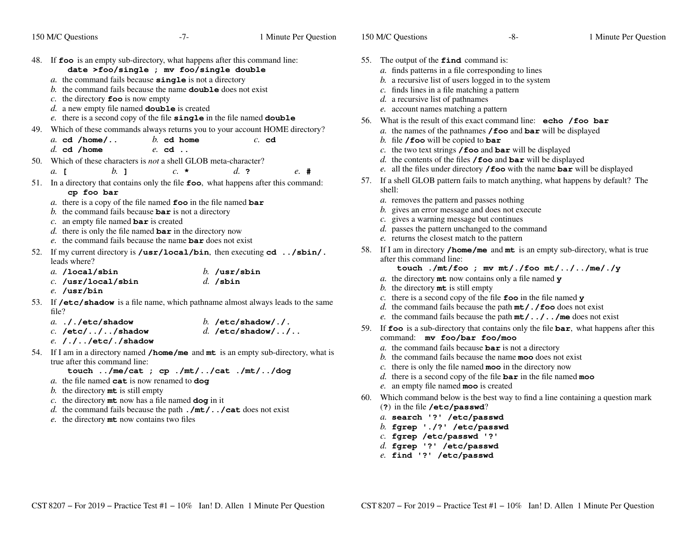150 M/C Questions

| 48. | If foo is an empty sub-directory, what happens after this command line:<br>date >foo/single ; mv foo/single double<br>a. the command fails because <b>single</b> is not a directory<br>b. the command fails because the name <b>double</b> does not exist<br>c. the directory $\mathbf{f}$ oo is now empty<br>$d.$ a new empty file named <b>double</b> is created<br>e. there is a second copy of the file single in the file named double |                                |
|-----|---------------------------------------------------------------------------------------------------------------------------------------------------------------------------------------------------------------------------------------------------------------------------------------------------------------------------------------------------------------------------------------------------------------------------------------------|--------------------------------|
| 49. | Which of these commands always returns you to your account HOME directory?                                                                                                                                                                                                                                                                                                                                                                  |                                |
|     | a. cd $/home/$ b. cd home                                                                                                                                                                                                                                                                                                                                                                                                                   | $c.$ cd                        |
|     | $d.$ cd /home<br>$e$ cd.                                                                                                                                                                                                                                                                                                                                                                                                                    |                                |
| 50. | Which of these characters is <i>not</i> a shell GLOB meta-character?<br>$h_{\cdot}$ 1<br>$c. \star$<br>$a$ . $\blacksquare$                                                                                                                                                                                                                                                                                                                 | $d_{\cdot}$ ?<br>$e_{\cdot}$ # |
|     |                                                                                                                                                                                                                                                                                                                                                                                                                                             |                                |
| 51. | In a directory that contains only the file foo, what happens after this command:<br>cp foo bar                                                                                                                                                                                                                                                                                                                                              |                                |
|     | a. there is a copy of the file named $\epsilon$ oo in the file named bar                                                                                                                                                                                                                                                                                                                                                                    |                                |
|     | b. the command fails because $bar$ is not a directory                                                                                                                                                                                                                                                                                                                                                                                       |                                |
|     | c. an empty file named $bar$ is created                                                                                                                                                                                                                                                                                                                                                                                                     |                                |
|     | d. there is only the file named <b>bar</b> in the directory now                                                                                                                                                                                                                                                                                                                                                                             |                                |
|     | e. the command fails because the name <b>bar</b> does not exist                                                                                                                                                                                                                                                                                                                                                                             |                                |
| 52. | If my current directory is /usr/local/bin, then executing $cd$ /sbin/.<br>leads where?                                                                                                                                                                                                                                                                                                                                                      |                                |
|     | $a.$ /local/sbin                                                                                                                                                                                                                                                                                                                                                                                                                            | $b.$ /usr/sbin                 |
|     | $c.$ /usr/local/sbin                                                                                                                                                                                                                                                                                                                                                                                                                        | $d.$ /sbin                     |
|     | $e.$ /usr/bin                                                                                                                                                                                                                                                                                                                                                                                                                               |                                |
| 53. | If /etc/shadow is a file name, which pathname almost always leads to the same<br>file?                                                                                                                                                                                                                                                                                                                                                      |                                |
|     | $a.$ ././etc/shadow                                                                                                                                                                                                                                                                                                                                                                                                                         | b. /etc/shadow/./.             |
|     | $c.$ /etc///shadow                                                                                                                                                                                                                                                                                                                                                                                                                          | $d.$ /etc/shadow//             |
|     | e. /.//etc/./shadow                                                                                                                                                                                                                                                                                                                                                                                                                         |                                |
| 54. | If I am in a directory named $/$ home/me and mt is an empty sub-directory, what is                                                                                                                                                                                                                                                                                                                                                          |                                |

 $\overline{5}$ If I am in a directory named<br>true after this command line: **/home/me**and **mt** is an empty sub-directory, what is

```

touch ../me/cat ; cp ./mt/../cat ./mt/../dog
```
- *a.* the file named **cat** is now renamed to **dog**
- *b.* the directory **mt** is still empty
- *c.* the directory **mt** now has a file named **dog** in it
- *d.* the command fails because the path **./mt/../cat** does not exist
- *e.* the directory **mt** now contains two files
- 55. The output of the **find** command is:
	- *a.* finds patterns in a file corresponding to lines
	- *b.* <sup>a</sup> recursive list of users logged in to the system
	- *c.* finds lines in a file matching a pattern
	- *d.* <sup>a</sup> recursive list of pathnames
	- *e.* account names matching a pattern
- 56. What is the result of this exact command line: **echo /foo bar**
	- *a.* the names of the pathnames **/foo** and **bar** will be displayed
	- *b.* file **/foo** will be copied to **bar**
	- *c.* the two text strings **/foo** and **bar** will be displayed
	- *d.* the contents of the files **/foo** and **bar** will be displayed
	- *e.* all the files under directory **/foo** with the name **bar** will be displayed
- 57. If <sup>a</sup> shell GLOB pattern fails to match anything, what happens by default? Theshell:
	- *a.* removes the pattern and passes nothing
	- *b.* gives an error message and does not execute
	- *c*. gives a warning message but continues
	- *d.* passes the pattern unchanged to the command
	- *e.* returns the closest match to the pattern
- 58. If <sup>I</sup> am in directory **/home/me** and **mt** is an empty sub-directory, what is true after this command line:
	- **touch ./mt/foo ; mv mt/./foo mt/../../me/./y**
	- *a.* the directory **mt** now contains only a file named **y**
	- *b.* the directory **mt** is still empty
	- *c.* there is a second copy of the file **foo** in the file named **y**
	- *d.* the command fails because the path **mt/./foo** does not exist
	- *e.* the command fails because the path **mt/../../me** does not exist
- 59. If **foo** is a sub-directory that contains only the file **bar**, what happens after this command: **mv foo/bar foo/moo**
	- *a.* the command fails because **bar** is not a directory
	- *b.* the command fails because the name **moo** does not exist
	- *c.* there is only the file named **moo** in the directory now
	- *d.* there is a second copy of the file **bar** in the file named **moo**
	- *e.* an empty file named **moo** is created
- 60. Which command below is the best way to find a line containing a question mark (**?**) in the file **/etc/passwd**?
	- *a.* **search '?' /etc/passwd**
	- *b.* **fgrep './?' /etc/passwd**
	- *c.* **fgrep /etc/passwd '?'**
	- *d.* **fgrep '?' /etc/passwd**
	- *e.* **find '?' /etc/passwd**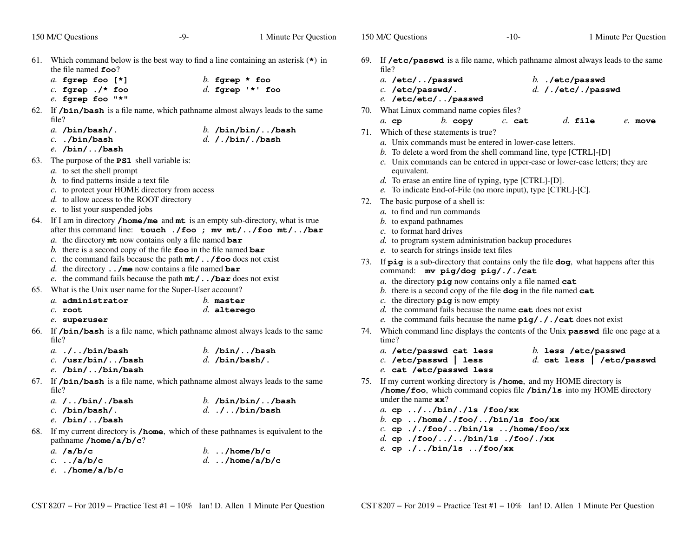150 M/C Questions

- 61. Which command below is the best way to find a line containing an asterisk (**\***) in the file named **foo**?
	- *a.* **fgrep foo [\*]** *b.* **fgrep \* foo** *c.* **fgrep ./\* foo***d.* **fgrep '\*' foo**
	- *e.* **fgrep foo "\*"**
- 62. If **/bin/bash** is a file name, which pathname almost always leads to the same file?
	- *a.* **/bin/bash/.** *b.* **/bin/bin/../bash** *c.* **./bin/bash***d.* **/./bin/./bash**
	- *e.* **/bin/../bash**
- 63. The purpose of the **PS1** shell variable is:
	- *a.* to set the shell prompt
	- *b.* to find patterns inside a text file
	- *c.* to protect your HOME directory from access
	- *d.* to allow access to the ROOT directory
	- *e.* to list your suspended jobs
- 64. If <sup>I</sup> am in directory **/home/me** and **mt** is an empty sub-directory, what is true after this command line: **touch ./foo ; mv mt/../foo mt/../bar**
	- *a.* the directory **mt** now contains only a file named **bar**
	- *b.* there is a second copy of the file **foo** in the file named **bar**
	- *c.* the command fails because the path **mt/../foo** does not exist
	- *d.* the directory **../me** now contains a file named **bar**
	- *e.* the command fails because the path **mt/../bar** does not exist
- 65. What is the Unix user name for the Super-User account?

| $a$ . administrator | $h$ . master  |
|---------------------|---------------|
| C. root             | $d.$ alterego |

- *e.* **superuser**
- 66. If **/bin/bash** is a file name, which pathname almost always leads to the same file?

| <i>a.</i> .//bin/bash | b. $/bin/$ /bash |
|-----------------------|------------------|
| $c.$ /usr/bin//bash   | $d.$ /bin/bash/. |
| e. /bin//bin/bash     |                  |

 67. If **/bin/bash** is a file name, which pathname almost always leads to the same file?

| a. $/$ $/b$ in $/$ . $/b$ ash | b. $/bin/bin/$ /bash |
|-------------------------------|----------------------|
| $c.$ /bin/bash/.              | $d.$ .//bin/bash     |
| $e.$ /bin//bash               |                      |

 68. If my current directory is **/home**, which of these pathnames is equivalent to thepathname **/home/a/b/c**?

| a. $/a/b/c$       | b $/\text{home}/\text{b}/\text{c}$ |
|-------------------|------------------------------------|
| $c.$ /a/b/c       | d/home/a/b/c                       |
| $e.$ ./home/a/b/c |                                    |

- 69. If **/etc/passwd** is a file name, which pathname almost always leads to the same file?
	- *a.* **/etc/../passwd** *b.* **./etc/passwd** *c.* **/etc/passwd/.***d.* **/./etc/./passwd**
	- *e.* **/etc/etc/../passwd**
- 70. What Linux command name copies files?
- $c.$  cat *a.* **cp***b.* **copy** *c.* **cat** *d.* **file** *e.* **move**
- 71. Which of these statements is true?
	- *a.* Unix commands must be entered in lower-case letters.
	- *b.* To delete a word from the shell command line, type [CTRL]-[D]
	- *c.* Unix commands can be entered in upper-case or lower-case letters; they areequivalent.
	- *d.* To erase an entire line of typing, type [CTRL]-[D].
	- *e.* To indicate End-of-File (no more input), type [CTRL]-[C].
- 72. The basic purpose of a shell is:
	- *a.* to find and run commands
	- *b.* to expand pathnames
	- *c.* to format hard drives
	- *d.* to program system administration backup procedures
	- *e.* to search for strings inside text files
- 73. If **<sup>p</sup>ig** is a sub-directory that contains only the file **dog**, what happens after this command: **mv pig/dog pig/././cat**
	- *a.* the directory **<sup>p</sup>ig** now contains only a file named **cat**
	- *b.* there is a second copy of the file **dog** in the file named **cat**
	- *c.* the directory **<sup>p</sup>ig** is now empty
	- *d.* the command fails because the name **cat** does not exist
	- *e.* the command fails because the name **<sup>p</sup>ig/././cat** does not exist
- 74. Which command line displays the contents of the Unix **passwd** file one page at a time?
	- *a.* **/etc/passwd cat less** *b.* **less /etc/passwd** *c.* **/etc/passwd | less** *d.* **cat less | /etc/passwd** *e.* **cat /etc/passwd less**
- 75. If my current working directory is **/home**, and my HOME directory is **/home/foo**, which command copies file **/bin/ls** into my HOME directory under the name **xx**?
	- *a.* **cp ../../bin/./ls /foo/xx**
	- *b.* **cp ../home/./foo/../bin/ls foo/xx**
	- *c.* **cp ././foo/../bin/ls ../home/foo/xx**
	- *d.* **cp ./foo/../../bin/ls ./foo/./xx**
	- *e.* **cp ./../bin/ls ../foo/xx**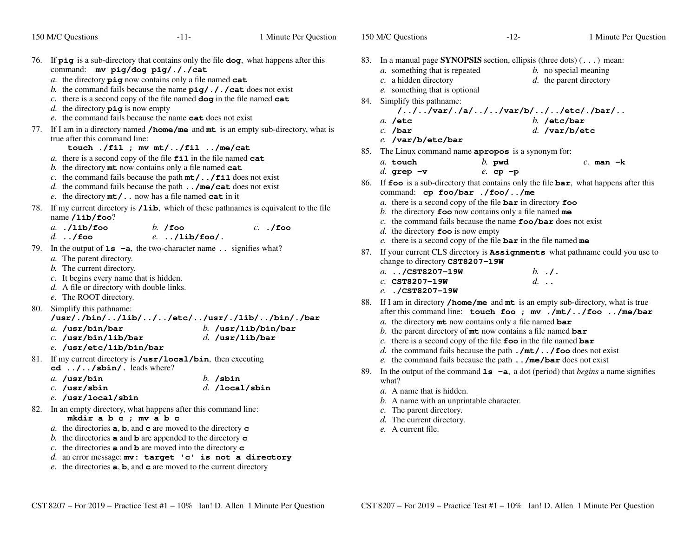|     | 150 M/C Questions                                                                                                                                                                                                                                                                                                                                                                                                                                                             | -11-<br>1 Minute Per Question                                                                                        |     | 150 M/C Questions                                                                                                                                                                                                                                                                                                                                  | $-12-$                             | 1 Minute Per Question                                                                                                                         |
|-----|-------------------------------------------------------------------------------------------------------------------------------------------------------------------------------------------------------------------------------------------------------------------------------------------------------------------------------------------------------------------------------------------------------------------------------------------------------------------------------|----------------------------------------------------------------------------------------------------------------------|-----|----------------------------------------------------------------------------------------------------------------------------------------------------------------------------------------------------------------------------------------------------------------------------------------------------------------------------------------------------|------------------------------------|-----------------------------------------------------------------------------------------------------------------------------------------------|
|     | command: mv pig/dog pig/././cat<br>$a$ . the directory $\pi$ iq now contains only a file named cat<br>b. the command fails because the name $\pi g /$ . / . / cat does not exist<br>c. there is a second copy of the file named $\log$ in the file named $\cot$<br>d. the directory $\vec{p} \cdot \vec{q}$ is now empty<br>e. the command fails because the name cat does not exist                                                                                          | 76. If $\pi$ is a sub-directory that contains only the file dog, what happens after this                             |     | 83. In a manual page SYNOPSIS section, ellipsis (three dots) () mean:<br><i>a</i> . something that is repeated<br>$c$ . a hidden directory<br>e. something that is optional<br>84. Simplify this pathname:<br>$a.$ /etc                                                                                                                            | $/$ //var/./a///var/b///etc/./bar/ | <i>b</i> . no special meaning<br>$d.$ the parent directory<br>$b.$ /etc/bar                                                                   |
|     | true after this command line:<br>touch ./fil ; mv $mt/$ /fil /me/cat<br>a. there is a second copy of the file $\text{fil}$ in the file named cat<br>b. the directory $m$ t now contains only a file named cat<br>c. the command fails because the path $m t /$ . $/fi1$ does not exist<br>d. the command fails because the path $\ldots$ /me/cat does not exist<br>e. the directory $mt/$ now has a file named cat in it                                                      | 77. If I am in a directory named <b>/home/me</b> and <b>mt</b> is an empty sub-directory, what is                    | 85. | $c.$ /bar<br>e. /var/b/etc/bar<br>The Linux command name apropos is a synonym for:<br>a. touch<br>d. grep $-v$<br>command: cp foo/bar ./foo//me                                                                                                                                                                                                    | $b.$ pwd<br>$e$ . cp -p            | $d.$ /var/b/etc<br>$c.$ man $-k$<br>86. If foo is a sub-directory that contains only the file bar, what happens after this                    |
| 78. | name $\lambda$ ib/foo?<br>$a.$ ./lib/foo<br>$b.$ /foo<br>$d.$ ./foo                                                                                                                                                                                                                                                                                                                                                                                                           | If my current directory is /1ib, which of these pathnames is equivalent to the file<br>$c.$ ./foo<br>$e.$ /lib/foo/. |     | a. there is a second copy of the file $bar$ in directory foo<br>b. the directory $\boldsymbol{\epsilon}$ co now contains only a file named me<br>c. the command fails because the name $\text{foo}/\text{bar}$ does not exist<br>d. the directory $\mathbf{f}$ oo is now empty<br>e. there is a second copy of the file $bar$ in the file named me |                                    |                                                                                                                                               |
|     | 79. In the output of $1s - a$ , the two-character name . signifies what?<br>a. The parent directory.<br>b. The current directory.<br>$c$ . It begins every name that is hidden.<br>d. A file or directory with double links.<br>e. The ROOT directory.                                                                                                                                                                                                                        |                                                                                                                      |     | change to directory CST8207-19W<br>$a.$ /CST8207-19W<br>$c.$ CST8207-19W<br>e/CST8207-19W                                                                                                                                                                                                                                                          | $b. \t.1$ .<br>$d.$                | 87. If your current CLS directory is <b>Assignments</b> what pathname could you use to                                                        |
|     | 80. Simplify this pathname:<br>a. /usr/bin/bar<br>$c.$ /usr/bin/lib/bar<br>$e.$ /usr/etc/lib/bin/bar                                                                                                                                                                                                                                                                                                                                                                          | /usr/./bin//lib///etc//usr/./lib//bin/./bar<br>b. $/usr/lib/bin/bar$<br>$d.$ /usr/lib/bar                            |     | a. the directory $m$ t now contains only a file named bar<br>b. the parent directory of $m$ t now contains a file named bar<br>c. there is a second copy of the file $\mathbf{f}$ oo in the file named bar<br>d. the command fails because the path $\cdot$ /mt/ $\cdot \cdot$ /foo does not exist                                                 |                                    | 88. If I am in directory /home/me and mt is an empty sub-directory, what is true<br>after this command line: touch foo ; mv ./mt//foo /me/bar |
|     | 81. If my current directory is /usr/local/bin, then executing<br>$cd$ // $sbin/$ . leads where?<br>a. $/usr/bin$<br>$c.$ /usr/sbin<br>e. /usr/local/sbin                                                                                                                                                                                                                                                                                                                      | $b.$ /sbin<br>$d.$ /local/sbin                                                                                       | 89. | e. the command fails because the path $\ldots$ /me/bar does not exist<br>what?<br>a. A name that is hidden.<br>$b$ . A name with an unprintable character.                                                                                                                                                                                         |                                    | In the output of the command $1s - a$ , a dot (period) that <i>begins</i> a name signifies                                                    |
|     | 82. In an empty directory, what happens after this command line:<br>mkdir a b c ; mv a b c<br>a. the directories $a, b$ , and $c$ are moved to the directory $c$<br>b. the directories <b>a</b> and <b>b</b> are appended to the directory <b>c</b><br>c. the directories $\bf{a}$ and $\bf{b}$ are moved into the directory $\bf{c}$<br>$d.$ an error message: $mv:$ target 'c' is not a directory<br>e. the directories $a, b$ , and $c$ are moved to the current directory |                                                                                                                      |     | c. The parent directory.<br>d. The current directory.<br>e. A current file.                                                                                                                                                                                                                                                                        |                                    |                                                                                                                                               |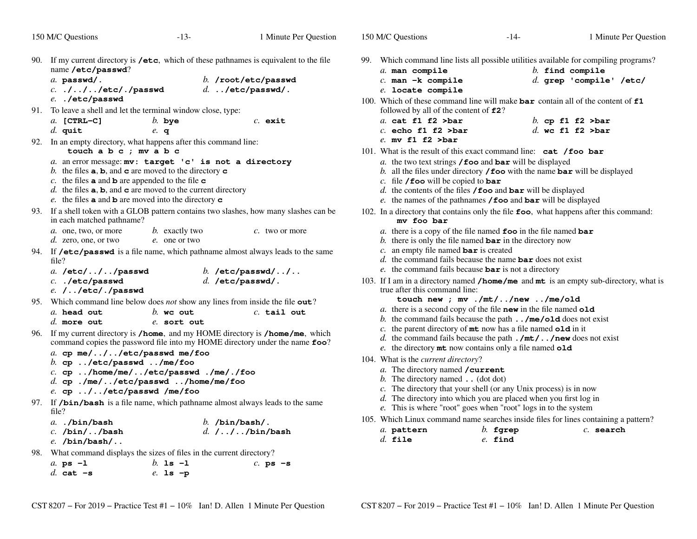|     | 150 M/C Questions                                                                                                                                                                                                                                                                                                                                                                                    | $-13-$                             | 1 Minute Per Question                                                                  | 150 M/C Questions                                              | $-14-$                                                                                                                                                                                                                                                                                                                                                     | 1 Minute Per Question                          |
|-----|------------------------------------------------------------------------------------------------------------------------------------------------------------------------------------------------------------------------------------------------------------------------------------------------------------------------------------------------------------------------------------------------------|------------------------------------|----------------------------------------------------------------------------------------|----------------------------------------------------------------|------------------------------------------------------------------------------------------------------------------------------------------------------------------------------------------------------------------------------------------------------------------------------------------------------------------------------------------------------------|------------------------------------------------|
|     | 90. If my current directory is /etc, which of these pathnames is equivalent to the file<br>name /etc/passwd?<br>a. passwd/.<br>$c.$ .///etc/./passwd<br>e. ./etc/passwd                                                                                                                                                                                                                              |                                    | b. /root/etc/passwd<br>$d.$ /etc/passwd/.                                              | $a.$ man compile<br>$c.$ man $-k$ compile<br>e. locate compile | 99. Which command line lists all possible utilities available for compiling programs?<br>100. Which of these command line will make $bar$ contain all of the content of $f1$                                                                                                                                                                               | $b.$ find compile<br>$d.$ grep 'compile' /etc/ |
|     | 91. To leave a shell and let the terminal window close, type:<br>$a.$ [CTRL-C]<br>$d.$ quit                                                                                                                                                                                                                                                                                                          | $b.$ bye                           | $c.$ exit                                                                              | $a.$ cat f1 f2 >bar<br>$c.$ echo f1 f2 >bar                    | followed by all of the content of £2?                                                                                                                                                                                                                                                                                                                      | b. cp $f1 f2 >bar$<br>d. wc f1 f2 $>bar$       |
|     | 92. In an empty directory, what happens after this command line:<br>touch a b c ; mv a b c<br>a. an error message: mv: target 'c' is not a directory<br>b. the files $\mathbf{a}, \mathbf{b}$ , and $\mathbf{c}$ are moved to the directory $\mathbf{c}$<br>c. the files $\bf{a}$ and $\bf{b}$ are appended to the file $\bf{c}$<br>d. the files $a, b$ , and $c$ are moved to the current directory | e. q                               |                                                                                        | $e$ . mv f1 f2 >bar                                            | 101. What is the result of this exact command line: $cat / foo bar$<br>a. the two text strings $/$ foo and bar will be displayed<br>b. all the files under directory $/$ foo with the name bar will be displayed<br>c. file / foo will be copied to bar<br>d. the contents of the files $/$ foo and bar will be displayed                                  |                                                |
|     | e. the files $\bf{a}$ and $\bf{b}$ are moved into the directory $\bf{c}$                                                                                                                                                                                                                                                                                                                             |                                    | 93. If a shell token with a GLOB pattern contains two slashes, how many slashes can be |                                                                | e. the names of the pathnames $/$ foo and bar will be displayed<br>102. In a directory that contains only the file foo, what happens after this command:                                                                                                                                                                                                   |                                                |
|     | in each matched pathname?<br>a. one, two, or more<br>d. zero, one, or two                                                                                                                                                                                                                                                                                                                            | b. exactly two<br>$e$ . one or two | $c$ , two or more                                                                      | my foo bar                                                     | a. there is a copy of the file named $\epsilon$ oo in the file named bar<br>b. there is only the file named $bar$ in the directory now                                                                                                                                                                                                                     |                                                |
|     | 94. If /etc/passwd is a file name, which pathname almost always leads to the same<br>file?<br>a. /etc///passwd<br>C. ./etc/passwd                                                                                                                                                                                                                                                                    |                                    | b. /etc/passwd//<br>$d.$ /etc/passwd/.                                                 |                                                                | $c$ . an empty file named <b>bar</b> is created<br>$d$ . the command fails because the name $bar$ does not exist<br>e. the command fails because $bar$ is not a directory<br>103. If I am in a directory named <b>/home/me</b> and $m$ <b>t</b> is an empty sub-directory, what is                                                                         |                                                |
|     | e. //etc/./passwd<br>95. Which command line below does <i>not</i> show any lines from inside the file $out?$<br>a. head out<br>$d.$ more out                                                                                                                                                                                                                                                         | $b$ . we out<br>e. sort out        | $c.$ tail out                                                                          | true after this command line:                                  | touch new ; mv ./mt//new /me/old<br>a. there is a second copy of the file new in the file named $old$<br>b. the command fails because the path $\ldots$ /me/old does not exist                                                                                                                                                                             |                                                |
|     | 96. If my current directory is /home, and my HOME directory is /home/me, which<br>command copies the password file into my HOME directory under the name foo?<br>a. cp me///etc/passwd me/foo<br>b. cp $\ldots$ /etc/passwd $\ldots$ /me/foo<br>c. cp /home/me//etc/passwd ./me/./foo<br>$d.$ cp ./me//etc/passwd /home/me/foo<br>e. cp //etc/passwd /me/foo                                         |                                    |                                                                                        | 104. What is the <i>current directory</i> ?                    | c. the parent directory of $m$ t now has a file named $old$ in it<br>d. the command fails because the path $./mt/$ . $./new$ does not exist<br>e. the directory mt now contains only a file named old<br>a. The directory named / current<br>b. The directory named $\ldots$ (dot dot)<br>c. The directory that your shell (or any Unix process) is in now |                                                |
|     | 97. If /bin/bash is a file name, which pathname almost always leads to the same<br>file?<br>$a.$ ./bin/bash<br>$c.$ /bin//bash<br>$e.$ /bin/bash/                                                                                                                                                                                                                                                    |                                    | $b.$ /bin/bash/.<br>d. $/$ $/$ /bin/bash                                               | a. pattern<br>$d.$ file                                        | d. The directory into which you are placed when you first log in<br>e. This is where "root" goes when "root" logs in to the system<br>105. Which Linux command name searches inside files for lines containing a pattern?<br>$b.$ fgrep<br>$e.$ find                                                                                                       | $c.$ search                                    |
| 98. | What command displays the sizes of files in the current directory?<br>a. $ps -1$<br>d. cat $-s$                                                                                                                                                                                                                                                                                                      | b. is $-1$<br>$e.$ 1s $-p$         | $c.$ ps $-s$                                                                           |                                                                |                                                                                                                                                                                                                                                                                                                                                            |                                                |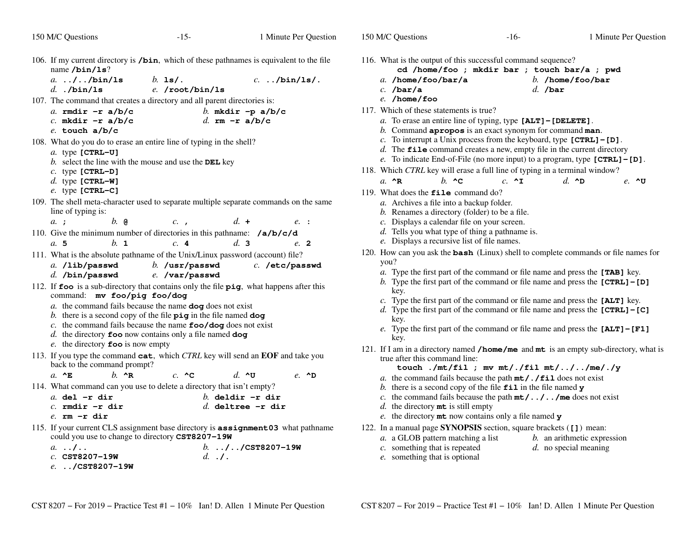- $-15-$  1 106. If my current directory is **/bin**, which of these pathnames is equivalent to the filename **/bin/ls**? *a.* **../../bin/ls** *b.* **ls/.** *c.* **../bin/ls/.** *d.* **./bin/ls** *e.* **/root/bin/ls** 107. The command that creates a directory and all parent directories is: *a.* **rmdir -r a/b/c** *b.* **mkdir -p a/b/c** *c.* **mkdir -r a/b/c** *d.* **rm -r a/b/c** *e.* **touch a/b/c** 108. What do you do to erase an entire line of typing in the shell?*a.* type **[CTRL-U]** *b.* select the line with the mouse and use the **DEL** key *c.* type **[CTRL-D]** *d.* type **[CTRL-W]** *e.* type **[CTRL-C]** 109. The shell meta-character used to separate multiple separate commands on the same line of typing is:*a.* **;** *b.* **@** *c.* **,** *d.* **<sup>+</sup>** *e.* **:** 110. Give the minimum number of directories in this pathname: **/a/b/c/d** $e. 2$ *a.* **5** *b.* **<sup>1</sup>** *c.* **<sup>4</sup>** *d.* **<sup>3</sup>** *e.* **<sup>2</sup>** 111. What is the absolute pathname of the Unix/Linux password (account) file?
- c. /etc/passwd *a.* **/lib/passwd** *b.* **/usr/passwd** *c.* **/etc/passwd**
	- *d.* **/bin/passwd***e.* **/var/passwd**
- 112. If **foo** is a sub-directory that contains only the file **<sup>p</sup>ig**, what happens after this command: **mv foo/pig foo/dog**
	- *a.* the command fails because the name **dog** does not exist
	- *b.* there is a second copy of the file **<sup>p</sup>ig** in the file named **dog**
	- *c.* the command fails because the name **foo/dog** does not exist
	- *d.* the directory **foo** now contains only a file named **dog**
	- *e.* the directory **foo** is now empty
- 113. If you type the command **cat**, which *CTRL* key will send an **EOF** and take you back to the command prompt?

*a.* **^E***b.* **^R** *c.* **^C** *d.* **^U** *e.* **^D**

114. What command can you use to delete a directory that isn't empty?

| $a.$ del $-r$ dir   | $h$ deldir -r dir   |
|---------------------|---------------------|
| $c.$ rmdir $-r$ dir | $d.$ deltree -r dir |
|                     |                     |

- *e.* **rm -r dir**
- 115. If your current CLS assignment base directory is **assignment03** what pathname could you use to change to directory **CST8207-19W**
	- *b.* **../../CST8207-19W** *a.* **../..***c.* **CST8207-19W***d.* **./.**
	- *e.* **../CST8207-19W**
- 116. What is the output of this successful command sequence?
	- **cd /home/foo ; mkdir bar ; touch bar/a ; pwd***a.* **/home/foo/bar/a***b.* **/home/foo/bar**
	- *c.* **/bar/a***d.* **/bar**
	- *e.* **/home/foo**
- 117. Which of these statements is true?
	- *a.* To erase an entire line of typing, type **[ALT]-[DELETE]**.
	- *b.* Command **apropos** is an exact synonym for command **man**.
	- *c.* To interrupt a Unix process from the keyboard, type **[CTRL]-[D]**.
	- *d.* The **file** command creates a new, empty file in the current directory
	- *e.* To indicate End-of-File (no more input) to a program, type **[CTRL]-[D]**.
- 118. Which *CTRL* key will erase a full line of typing in a terminal window?
	- *a.* **^R***b.* **^C** *c.* **^I** *d.* **^D** *e.* **^U**
- 119. What does the **file** command do?
	- *a*. Archives a file into a backup folder.
	- *b.* Renames a directory (folder) to be a file.
	- *c.* Displays a calendar file on your screen.
	- *d.* Tells you what type of thing a pathname is.
	- *e.* Displays a recursive list of file names.
- 120. How can you ask the **bash** (Linux) shell to complete commands or file names for you?
	- *a.* Type the first part of the command or file name and press the **[TAB]** key.
	- *b.* Type the first part of the command or file name and press the **[CTRL]-[D]**key.
	- *c.* Type the first part of the command or file name and press the **[ALT]** key.
	- *d.* Type the first part of the command or file name and press the **[CTRL]-[C]**key.
	- *e.* Type the first part of the command or file name and press the **[ALT]-[F1]**key.
- 121. If <sup>I</sup> am in <sup>a</sup> directory named **/home/me** and **mt** is an empty sub-directory, what is true after this command line:

**touch ./mt/fil ; mv mt/./fil mt/../../me/./y**

- *a.* the command fails because the path **mt/./fil** does not exist
- *b.* there is a second copy of the file **fil** in the file named **<sup>y</sup>**
- *c.* the command fails because the path **mt/../../me** does not exist
- *d.* the directory **mt** is still empty
- *e.* the directory **mt** now contains only a file named **<sup>y</sup>**
- 122. In <sup>a</sup> manual page **SYNOPSIS** section, square brackets (**[]**) mean:
	- *a.* <sup>a</sup> GLOB pattern matching a list*b.* an arithmetic expression
	- *c.* something that is repeated
- *d.* no special meaning
- *e.* something that is optional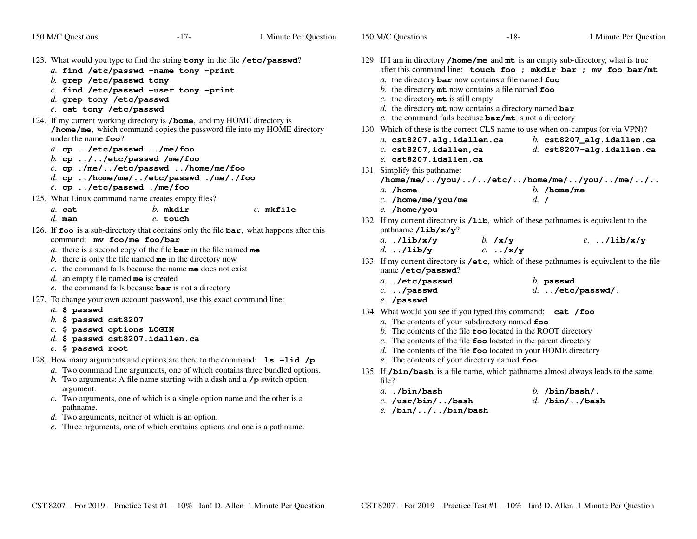| 150 M/C Questions                                                                                                                                                                                                                                                                                                                                                                                                                                           | $-17-$                                                                                                                                                                                                                                                                                                                                                                                                             | 1 Minute Per Question | 150 M/C Questions                                                                                                                                                                                                                                                                                                                                                                                                                                                                                                                                                                                                                                                                                                                       | $-18-$                        | 1 Minute Per Question                                                                                                      |
|-------------------------------------------------------------------------------------------------------------------------------------------------------------------------------------------------------------------------------------------------------------------------------------------------------------------------------------------------------------------------------------------------------------------------------------------------------------|--------------------------------------------------------------------------------------------------------------------------------------------------------------------------------------------------------------------------------------------------------------------------------------------------------------------------------------------------------------------------------------------------------------------|-----------------------|-----------------------------------------------------------------------------------------------------------------------------------------------------------------------------------------------------------------------------------------------------------------------------------------------------------------------------------------------------------------------------------------------------------------------------------------------------------------------------------------------------------------------------------------------------------------------------------------------------------------------------------------------------------------------------------------------------------------------------------------|-------------------------------|----------------------------------------------------------------------------------------------------------------------------|
| 123. What would you type to find the string tony in the file /etc/passwd?<br>$b.$ grep /etc/passwd tony<br>d. grep tony /etc/passwd<br>e. cat tony /etc/passwd                                                                                                                                                                                                                                                                                              | a. find /etc/passwd -name tony -print<br>$c.$ find /etc/passwd -user tony -print                                                                                                                                                                                                                                                                                                                                   |                       | 129. If I am in directory <b>/home/me</b> and $m\text{t}$ is an empty sub-directory, what is true<br>a. the directory $\texttt{bar}$ now contains a file named $\texttt{foo}$<br>b. the directory $m$ t now contains a file named foo<br>c. the directory $m\text{t}$ is still empty<br>d. the directory $m$ t now contains a directory named bar                                                                                                                                                                                                                                                                                                                                                                                       |                               | after this command line: touch foo ; mkdir bar ; mv foo bar/mt                                                             |
| 124. If my current working directory is /home, and my HOME directory is<br>under the name $\textbf{foo}$ ?<br>a. cp /etc/passwd /me/foo<br>b. cp $\ldots$ //etc/passwd /me/foo<br>e. cp /etc/passwd ./me/foo<br>125. What Linux command name creates empty files?                                                                                                                                                                                           | /home/me, which command copies the password file into my HOME directory<br>c. cp ./me//etc/passwd /home/me/foo<br>$d.$ cp /home/me//etc/passwd ./me/./foo                                                                                                                                                                                                                                                          |                       | e. the command fails because $bar/mt$ is not a directory<br>130. Which of these is the correct CLS name to use when on-campus (or via VPN)?<br>a. cst8207.alg.idallen.ca<br>$c.$ cst8207, idallen, ca<br>e. cst8207.idallen.ca<br>131. Simplify this pathname:<br>$a.$ /home                                                                                                                                                                                                                                                                                                                                                                                                                                                            |                               | b. $cst8207$ _alg.idallen.ca<br>$d.$ cst8207-alg.idallen.ca<br>$/home/me/$ /you///etc//home/me//you//me//<br>$b.$ /home/me |
| $a.$ cat<br>$d.$ man                                                                                                                                                                                                                                                                                                                                                                                                                                        | $b.$ mkdir<br>e. touch                                                                                                                                                                                                                                                                                                                                                                                             | $c.$ mkfile           | $c.$ /home/me/you/me<br>e. /home/you<br>132. If my current directory is /1ib, which of these pathnames is equivalent to the                                                                                                                                                                                                                                                                                                                                                                                                                                                                                                                                                                                                             | $d. \, I$                     |                                                                                                                            |
| 126. If foo is a sub-directory that contains only the file bar, what happens after this<br>command: mv foo/me foo/bar<br>$d.$ an empty file named me is created<br>127. To change your own account password, use this exact command line:<br>a. \$ passwd<br>$b.$ \$ passwd cst8207<br>$c.$ \$ passwd options LOGIN<br>$d.$ \$ passwd cst8207.idallen.ca<br>e. \$ passwd root<br>128. How many arguments and options are there to the command: $ls$ -lid /p | a. there is a second copy of the file $bar$ in the file named me<br>b. there is only the file named $me$ in the directory now<br>c. the command fails because the name me does not exist<br>$e$ . the command fails because $bar$ is not a directory<br>a. Two command line arguments, one of which contains three bundled options.<br>b. Two arguments: A file name starting with a dash and a $/p$ switch option |                       | pathname $\lambda$ ib/x/y?<br>$a.$ ./lib/x/y<br>$d.$ /lib/y<br>133. If my current directory is /etc, which of these pathnames is equivalent to the file<br>name /etc/passwd?<br>a. ./etc/passwd<br>$c.$ /passwd<br>e. /passwd<br>134. What would you see if you typed this command: cat /foo<br>a. The contents of your subdirectory named foo<br>b. The contents of the file $\mathbf{foo}$ located in the ROOT directory<br>$c$ . The contents of the file $\epsilon$ foo located in the parent directory<br>$d$ . The contents of the file $\epsilon$ and located in your HOME directory<br>e. The contents of your directory named foo<br>135. If /bin/bash is a file name, which pathname almost always leads to the same<br>file? | b. $/x/y$<br>$e. \ldots /x/y$ | $c.$ /lib/x/y<br>$b.$ passwd<br>$d.$ /etc/passwd/.                                                                         |
| argument.<br>pathname.<br>$d.$ Two arguments, neither of which is an option.                                                                                                                                                                                                                                                                                                                                                                                | c. Two arguments, one of which is a single option name and the other is a<br>e. Three arguments, one of which contains options and one is a pathname.                                                                                                                                                                                                                                                              |                       | $a.$ ./bin/bash<br>$c.$ /usr/bin//bash<br>$e.$ /bin///bin/bash                                                                                                                                                                                                                                                                                                                                                                                                                                                                                                                                                                                                                                                                          |                               | $b.$ /bin/bash/.<br>$d.$ /bin//bash                                                                                        |

Minute Per Question